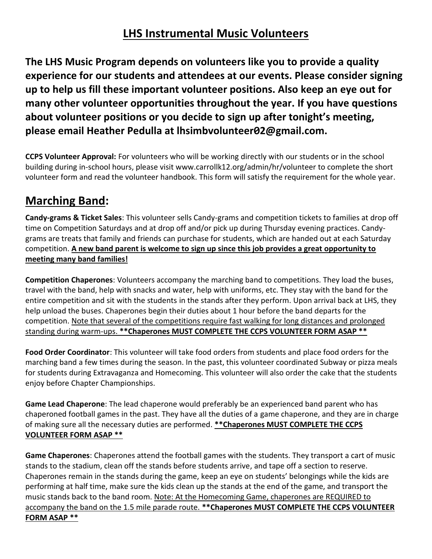#### **LHS Instrumental Music Volunteers**

**The LHS Music Program depends on volunteers like you to provide a quality experience for our students and attendees at our events. Please consider signing up to help us fill these important volunteer positions. Also keep an eye out for many other volunteer opportunities throughout the year. If you have questions about volunteer positions or you decide to sign up after tonight's meeting, please email Heather Pedulla at lhsimbvolunteer02@gmail.com.**

**CCPS Volunteer Approval:** For volunteers who will be working directly with our students or in the school building during in-school hours, please visit www.carrollk12.org/admin/hr/volunteer to complete the short volunteer form and read the volunteer handbook. This form will satisfy the requirement for the whole year.

# **Marching Band:**

**Candy-grams & Ticket Sales**: This volunteer sells Candy-grams and competition tickets to families at drop off time on Competition Saturdays and at drop off and/or pick up during Thursday evening practices. Candygrams are treats that family and friends can purchase for students, which are handed out at each Saturday competition. **A new band parent is welcome to sign up since this job provides a great opportunity to meeting many band families!**

**Competition Chaperones**: Volunteers accompany the marching band to competitions. They load the buses, travel with the band, help with snacks and water, help with uniforms, etc. They stay with the band for the entire competition and sit with the students in the stands after they perform. Upon arrival back at LHS, they help unload the buses. Chaperones begin their duties about 1 hour before the band departs for the competition. Note that several of the competitions require fast walking for long distances and prolonged standing during warm-ups. **\*\*Chaperones MUST COMPLETE THE CCPS VOLUNTEER FORM ASAP \*\***

**Food Order Coordinator**: This volunteer will take food orders from students and place food orders for the marching band a few times during the season. In the past, this volunteer coordinated Subway or pizza meals for students during Extravaganza and Homecoming. This volunteer will also order the cake that the students enjoy before Chapter Championships.

**Game Lead Chaperone**: The lead chaperone would preferably be an experienced band parent who has chaperoned football games in the past. They have all the duties of a game chaperone, and they are in charge of making sure all the necessary duties are performed. **\*\*Chaperones MUST COMPLETE THE CCPS VOLUNTEER FORM ASAP \*\***

**Game Chaperones**: Chaperones attend the football games with the students. They transport a cart of music stands to the stadium, clean off the stands before students arrive, and tape off a section to reserve. Chaperones remain in the stands during the game, keep an eye on students' belongings while the kids are performing at half time, make sure the kids clean up the stands at the end of the game, and transport the music stands back to the band room. Note: At the Homecoming Game, chaperones are REQUIRED to accompany the band on the 1.5 mile parade route. **\*\*Chaperones MUST COMPLETE THE CCPS VOLUNTEER FORM ASAP \*\***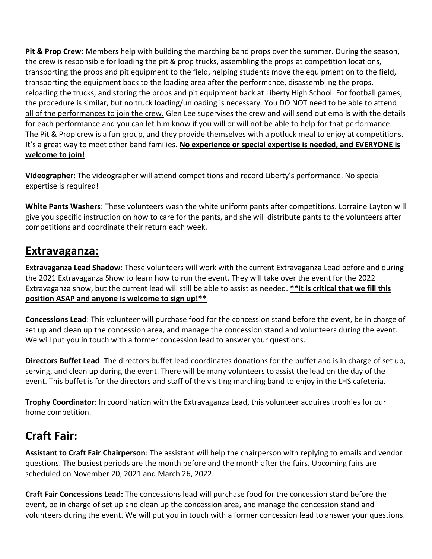**Pit & Prop Crew**: Members help with building the marching band props over the summer. During the season, the crew is responsible for loading the pit & prop trucks, assembling the props at competition locations, transporting the props and pit equipment to the field, helping students move the equipment on to the field, transporting the equipment back to the loading area after the performance, disassembling the props, reloading the trucks, and storing the props and pit equipment back at Liberty High School. For football games, the procedure is similar, but no truck loading/unloading is necessary. You DO NOT need to be able to attend all of the performances to join the crew. Glen Lee supervises the crew and will send out emails with the details for each performance and you can let him know if you will or will not be able to help for that performance. The Pit & Prop crew is a fun group, and they provide themselves with a potluck meal to enjoy at competitions. It's a great way to meet other band families. **No experience or special expertise is needed, and EVERYONE is welcome to join!**

**Videographer**: The videographer will attend competitions and record Liberty's performance. No special expertise is required!

**White Pants Washers**: These volunteers wash the white uniform pants after competitions. Lorraine Layton will give you specific instruction on how to care for the pants, and she will distribute pants to the volunteers after competitions and coordinate their return each week.

#### **Extravaganza:**

**Extravaganza Lead Shadow**: These volunteers will work with the current Extravaganza Lead before and during the 2021 Extravaganza Show to learn how to run the event. They will take over the event for the 2022 Extravaganza show, but the current lead will still be able to assist as needed. **\*\*It is critical that we fill this position ASAP and anyone is welcome to sign up!\*\***

**Concessions Lead**: This volunteer will purchase food for the concession stand before the event, be in charge of set up and clean up the concession area, and manage the concession stand and volunteers during the event. We will put you in touch with a former concession lead to answer your questions.

**Directors Buffet Lead**: The directors buffet lead coordinates donations for the buffet and is in charge of set up, serving, and clean up during the event. There will be many volunteers to assist the lead on the day of the event. This buffet is for the directors and staff of the visiting marching band to enjoy in the LHS cafeteria.

**Trophy Coordinator**: In coordination with the Extravaganza Lead, this volunteer acquires trophies for our home competition.

# **Craft Fair:**

**Assistant to Craft Fair Chairperson**: The assistant will help the chairperson with replying to emails and vendor questions. The busiest periods are the month before and the month after the fairs. Upcoming fairs are scheduled on November 20, 2021 and March 26, 2022.

**Craft Fair Concessions Lead:** The concessions lead will purchase food for the concession stand before the event, be in charge of set up and clean up the concession area, and manage the concession stand and volunteers during the event. We will put you in touch with a former concession lead to answer your questions.